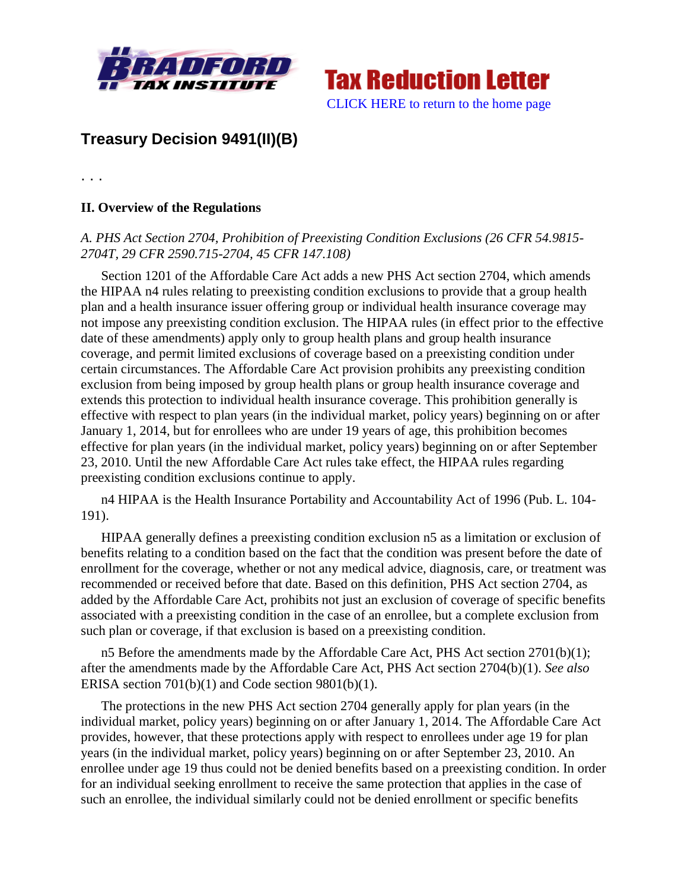



## **Treasury Decision 9491(II)(B)**

. . .

## **II. Overview of the Regulations**

## *A. PHS Act Section 2704, Prohibition of Preexisting Condition Exclusions (26 CFR 54.9815- 2704T, 29 CFR 2590.715-2704, 45 CFR 147.108)*

Section 1201 of the Affordable Care Act adds a new PHS Act section 2704, which amends the HIPAA n4 rules relating to preexisting condition exclusions to provide that a group health plan and a health insurance issuer offering group or individual health insurance coverage may not impose any preexisting condition exclusion. The HIPAA rules (in effect prior to the effective date of these amendments) apply only to group health plans and group health insurance coverage, and permit limited exclusions of coverage based on a preexisting condition under certain circumstances. The Affordable Care Act provision prohibits any preexisting condition exclusion from being imposed by group health plans or group health insurance coverage and extends this protection to individual health insurance coverage. This prohibition generally is effective with respect to plan years (in the individual market, policy years) beginning on or after January 1, 2014, but for enrollees who are under 19 years of age, this prohibition becomes effective for plan years (in the individual market, policy years) beginning on or after September 23, 2010. Until the new Affordable Care Act rules take effect, the HIPAA rules regarding preexisting condition exclusions continue to apply.

n4 HIPAA is the Health Insurance Portability and Accountability Act of 1996 (Pub. L. 104- 191).

HIPAA generally defines a preexisting condition exclusion n5 as a limitation or exclusion of benefits relating to a condition based on the fact that the condition was present before the date of enrollment for the coverage, whether or not any medical advice, diagnosis, care, or treatment was recommended or received before that date. Based on this definition, PHS Act section 2704, as added by the Affordable Care Act, prohibits not just an exclusion of coverage of specific benefits associated with a preexisting condition in the case of an enrollee, but a complete exclusion from such plan or coverage, if that exclusion is based on a preexisting condition.

n5 Before the amendments made by the Affordable Care Act, PHS Act section 2701(b)(1); after the amendments made by the Affordable Care Act, PHS Act section 2704(b)(1). *See also* ERISA section 701(b)(1) and Code section 9801(b)(1).

The protections in the new PHS Act section 2704 generally apply for plan years (in the individual market, policy years) beginning on or after January 1, 2014. The Affordable Care Act provides, however, that these protections apply with respect to enrollees under age 19 for plan years (in the individual market, policy years) beginning on or after September 23, 2010. An enrollee under age 19 thus could not be denied benefits based on a preexisting condition. In order for an individual seeking enrollment to receive the same protection that applies in the case of such an enrollee, the individual similarly could not be denied enrollment or specific benefits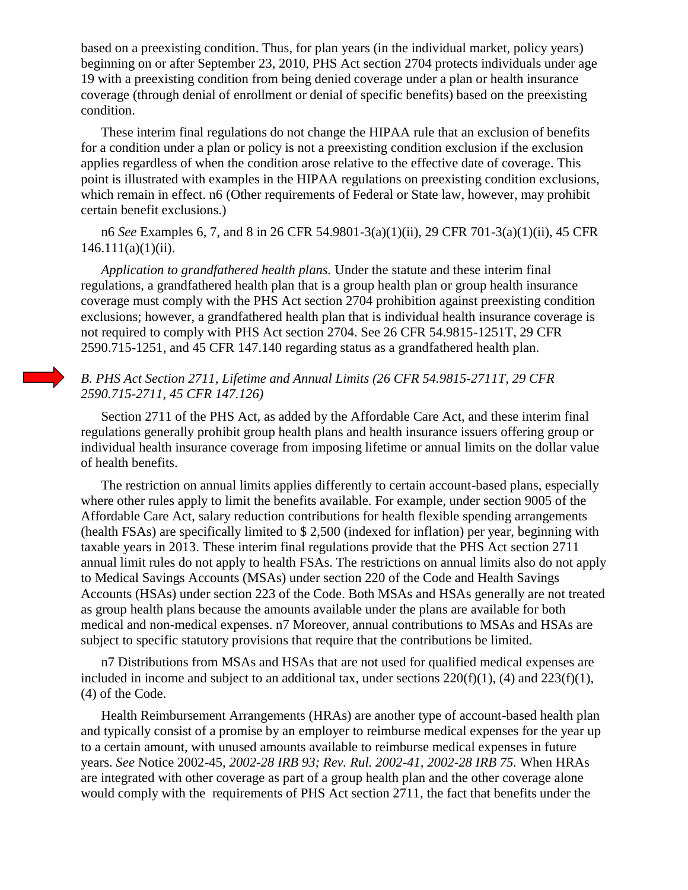based on a preexisting condition. Thus, for plan years (in the individual market, policy years) beginning on or after September 23, 2010, PHS Act section 2704 protects individuals under age 19 with a preexisting condition from being denied coverage under a plan or health insurance coverage (through denial of enrollment or denial of specific benefits) based on the preexisting condition.

These interim final regulations do not change the HIPAA rule that an exclusion of benefits for a condition under a plan or policy is not a preexisting condition exclusion if the exclusion applies regardless of when the condition arose relative to the effective date of coverage. This point is illustrated with examples in the HIPAA regulations on preexisting condition exclusions, which remain in effect. n6 (Other requirements of Federal or State law, however, may prohibit certain benefit exclusions.)

n6 *See* Examples 6, 7, and 8 in 26 CFR 54.9801-3(a)(1)(ii), 29 CFR 701-3(a)(1)(ii), 45 CFR  $146.111(a)(1)(ii)$ .

*Application to grandfathered health plans.* Under the statute and these interim final regulations, a grandfathered health plan that is a group health plan or group health insurance coverage must comply with the PHS Act section 2704 prohibition against preexisting condition exclusions; however, a grandfathered health plan that is individual health insurance coverage is not required to comply with PHS Act section 2704. See 26 CFR 54.9815-1251T, 29 CFR 2590.715-1251, and 45 CFR 147.140 regarding status as a grandfathered health plan.

## *B. PHS Act Section 2711, Lifetime and Annual Limits (26 CFR 54.9815-2711T, 29 CFR 2590.715-2711, 45 CFR 147.126)*

Section 2711 of the PHS Act, as added by the Affordable Care Act, and these interim final regulations generally prohibit group health plans and health insurance issuers offering group or individual health insurance coverage from imposing lifetime or annual limits on the dollar value of health benefits.

The restriction on annual limits applies differently to certain account-based plans, especially where other rules apply to limit the benefits available. For example, under section 9005 of the Affordable Care Act, salary reduction contributions for health flexible spending arrangements (health FSAs) are specifically limited to \$ 2,500 (indexed for inflation) per year, beginning with taxable years in 2013. These interim final regulations provide that the PHS Act section 2711 annual limit rules do not apply to health FSAs. The restrictions on annual limits also do not apply to Medical Savings Accounts (MSAs) under section 220 of the Code and Health Savings Accounts (HSAs) under section 223 of the Code. Both MSAs and HSAs generally are not treated as group health plans because the amounts available under the plans are available for both medical and non-medical expenses. n7 Moreover, annual contributions to MSAs and HSAs are subject to specific statutory provisions that require that the contributions be limited.

n7 Distributions from MSAs and HSAs that are not used for qualified medical expenses are included in income and subject to an additional tax, under sections  $220(f)(1)$ , (4) and  $223(f)(1)$ , (4) of the Code.

Health Reimbursement Arrangements (HRAs) are another type of account-based health plan and typically consist of a promise by an employer to reimburse medical expenses for the year up to a certain amount, with unused amounts available to reimburse medical expenses in future years. *See* Notice 2002-45, *2002-28 IRB 93; Rev. Rul. 2002-41, 2002-28 IRB 75.* When HRAs are integrated with other coverage as part of a group health plan and the other coverage alone would comply with the requirements of PHS Act section 2711, the fact that benefits under the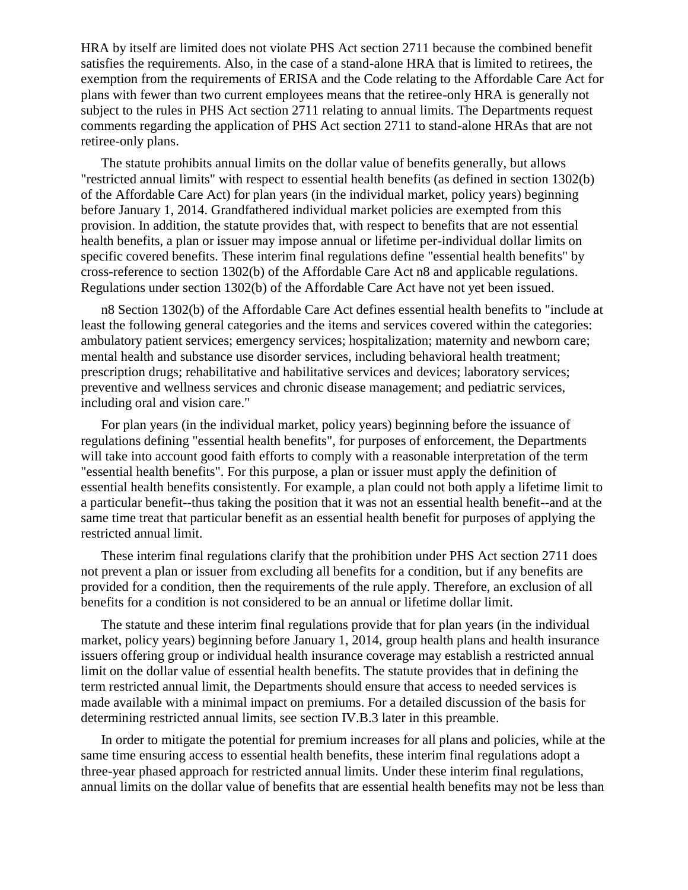HRA by itself are limited does not violate PHS Act section 2711 because the combined benefit satisfies the requirements. Also, in the case of a stand-alone HRA that is limited to retirees, the exemption from the requirements of ERISA and the Code relating to the Affordable Care Act for plans with fewer than two current employees means that the retiree-only HRA is generally not subject to the rules in PHS Act section 2711 relating to annual limits. The Departments request comments regarding the application of PHS Act section 2711 to stand-alone HRAs that are not retiree-only plans.

The statute prohibits annual limits on the dollar value of benefits generally, but allows "restricted annual limits" with respect to essential health benefits (as defined in section 1302(b) of the Affordable Care Act) for plan years (in the individual market, policy years) beginning before January 1, 2014. Grandfathered individual market policies are exempted from this provision. In addition, the statute provides that, with respect to benefits that are not essential health benefits, a plan or issuer may impose annual or lifetime per-individual dollar limits on specific covered benefits. These interim final regulations define "essential health benefits" by cross-reference to section 1302(b) of the Affordable Care Act n8 and applicable regulations. Regulations under section 1302(b) of the Affordable Care Act have not yet been issued.

n8 Section 1302(b) of the Affordable Care Act defines essential health benefits to "include at least the following general categories and the items and services covered within the categories: ambulatory patient services; emergency services; hospitalization; maternity and newborn care; mental health and substance use disorder services, including behavioral health treatment; prescription drugs; rehabilitative and habilitative services and devices; laboratory services; preventive and wellness services and chronic disease management; and pediatric services, including oral and vision care."

For plan years (in the individual market, policy years) beginning before the issuance of regulations defining "essential health benefits", for purposes of enforcement, the Departments will take into account good faith efforts to comply with a reasonable interpretation of the term "essential health benefits". For this purpose, a plan or issuer must apply the definition of essential health benefits consistently. For example, a plan could not both apply a lifetime limit to a particular benefit--thus taking the position that it was not an essential health benefit--and at the same time treat that particular benefit as an essential health benefit for purposes of applying the restricted annual limit.

These interim final regulations clarify that the prohibition under PHS Act section 2711 does not prevent a plan or issuer from excluding all benefits for a condition, but if any benefits are provided for a condition, then the requirements of the rule apply. Therefore, an exclusion of all benefits for a condition is not considered to be an annual or lifetime dollar limit.

The statute and these interim final regulations provide that for plan years (in the individual market, policy years) beginning before January 1, 2014, group health plans and health insurance issuers offering group or individual health insurance coverage may establish a restricted annual limit on the dollar value of essential health benefits. The statute provides that in defining the term restricted annual limit, the Departments should ensure that access to needed services is made available with a minimal impact on premiums. For a detailed discussion of the basis for determining restricted annual limits, see section IV.B.3 later in this preamble.

In order to mitigate the potential for premium increases for all plans and policies, while at the same time ensuring access to essential health benefits, these interim final regulations adopt a three-year phased approach for restricted annual limits. Under these interim final regulations, annual limits on the dollar value of benefits that are essential health benefits may not be less than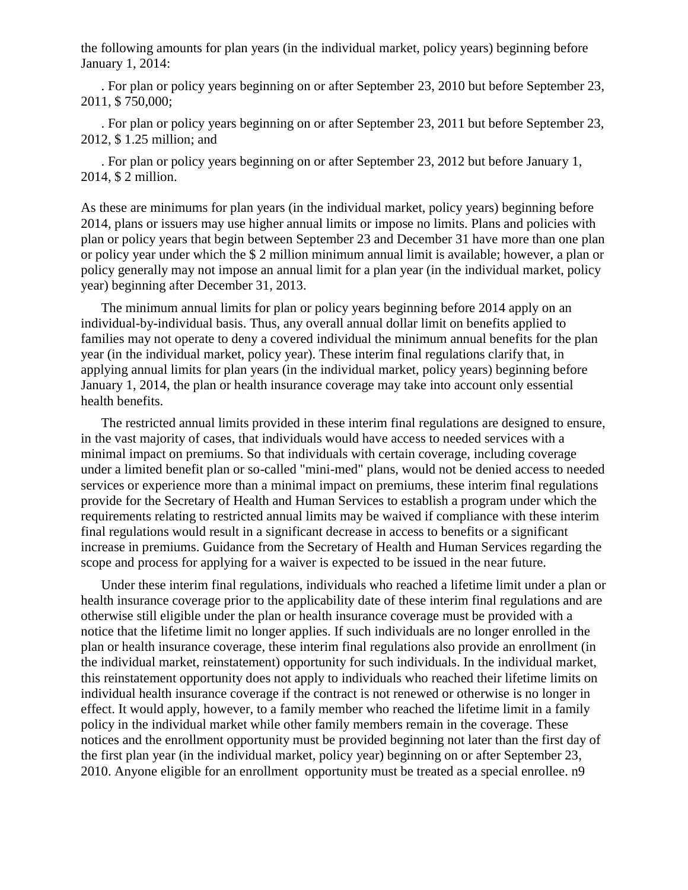the following amounts for plan years (in the individual market, policy years) beginning before January 1, 2014:

. For plan or policy years beginning on or after September 23, 2010 but before September 23, 2011, \$ 750,000;

. For plan or policy years beginning on or after September 23, 2011 but before September 23, 2012, \$ 1.25 million; and

. For plan or policy years beginning on or after September 23, 2012 but before January 1, 2014, \$ 2 million.

As these are minimums for plan years (in the individual market, policy years) beginning before 2014, plans or issuers may use higher annual limits or impose no limits. Plans and policies with plan or policy years that begin between September 23 and December 31 have more than one plan or policy year under which the \$ 2 million minimum annual limit is available; however, a plan or policy generally may not impose an annual limit for a plan year (in the individual market, policy year) beginning after December 31, 2013.

The minimum annual limits for plan or policy years beginning before 2014 apply on an individual-by-individual basis. Thus, any overall annual dollar limit on benefits applied to families may not operate to deny a covered individual the minimum annual benefits for the plan year (in the individual market, policy year). These interim final regulations clarify that, in applying annual limits for plan years (in the individual market, policy years) beginning before January 1, 2014, the plan or health insurance coverage may take into account only essential health benefits.

The restricted annual limits provided in these interim final regulations are designed to ensure, in the vast majority of cases, that individuals would have access to needed services with a minimal impact on premiums. So that individuals with certain coverage, including coverage under a limited benefit plan or so-called "mini-med" plans, would not be denied access to needed services or experience more than a minimal impact on premiums, these interim final regulations provide for the Secretary of Health and Human Services to establish a program under which the requirements relating to restricted annual limits may be waived if compliance with these interim final regulations would result in a significant decrease in access to benefits or a significant increase in premiums. Guidance from the Secretary of Health and Human Services regarding the scope and process for applying for a waiver is expected to be issued in the near future.

Under these interim final regulations, individuals who reached a lifetime limit under a plan or health insurance coverage prior to the applicability date of these interim final regulations and are otherwise still eligible under the plan or health insurance coverage must be provided with a notice that the lifetime limit no longer applies. If such individuals are no longer enrolled in the plan or health insurance coverage, these interim final regulations also provide an enrollment (in the individual market, reinstatement) opportunity for such individuals. In the individual market, this reinstatement opportunity does not apply to individuals who reached their lifetime limits on individual health insurance coverage if the contract is not renewed or otherwise is no longer in effect. It would apply, however, to a family member who reached the lifetime limit in a family policy in the individual market while other family members remain in the coverage. These notices and the enrollment opportunity must be provided beginning not later than the first day of the first plan year (in the individual market, policy year) beginning on or after September 23, 2010. Anyone eligible for an enrollment opportunity must be treated as a special enrollee. n9